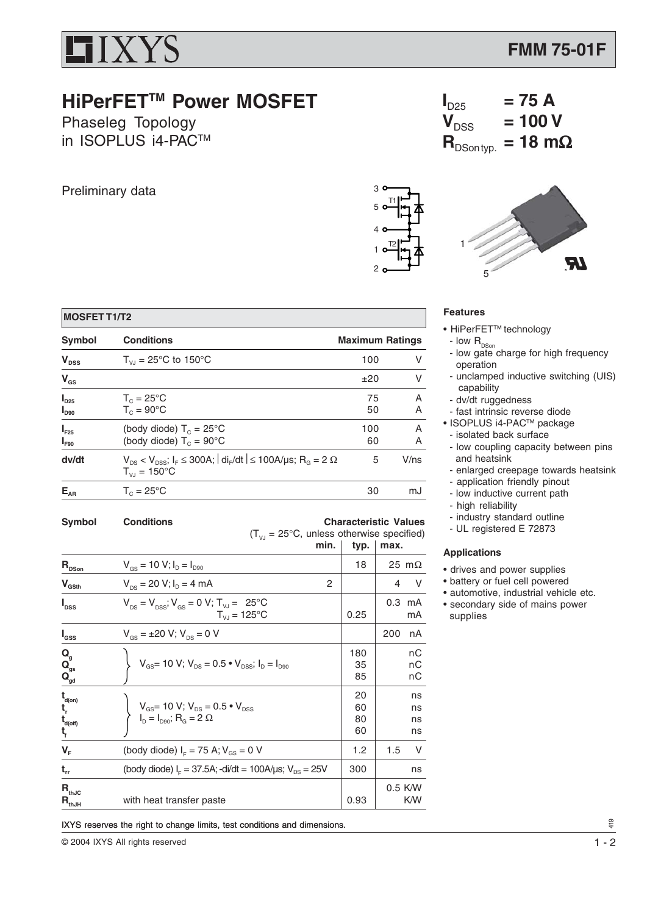

## **HiPerFETTM Power MOSFET**

Phaseleg Topology in ISOPLUS i4-PACTM

Preliminary data

 **MOSFET T1/T2**

 $I_{D90}$   $T_{C} = 90^{\circ}$ C

 $T_{\text{VJ}} = 150^{\circ} \text{C}$ 

| 3                   |  |
|---------------------|--|
| T1<br>5             |  |
| 4 <sup>1</sup>      |  |
| T <sub>2</sub><br>1 |  |
| 2                   |  |



 $= 100 V$ 

 $I_{D25}$  = 75 A<br> $V_{DSS}$  = 100 \

 $$ 

## **Features**

- HiPerFET<sup>™</sup> technology
- low  $\mathsf{R}_{_{\mathsf{DSon}}}$
- low gate charge for high frequency operation
- unclamped inductive switching (UIS) capability
- dv/dt ruggedness
- fast intrinsic reverse diode
- ISOPLUS i4-PACTM package
- isolated back surface
	- low coupling capacity between pins and heatsink
	- enlarged creepage towards heatsink
	- application friendly pinout
	- low inductive current path
	- high reliability
	- industry standard outline
	- UL registered E 72873

## **Applications**

- drives and power supplies
- battery or fuel cell powered
- automotive, industrial vehicle etc.
- secondary side of mains power supplies

| Symbol                                                                                        | <b>Conditions</b><br>$(T_{V_1} = 25^{\circ}C$ , unless otherwise specified)<br>min.                                                     | typ.                 | <b>Characteristic Values</b><br>max. |
|-----------------------------------------------------------------------------------------------|-----------------------------------------------------------------------------------------------------------------------------------------|----------------------|--------------------------------------|
| $\mathsf{R}_{\texttt{{\tiny{DSop}}}}$                                                         | $V_{\text{GS}} = 10 \text{ V}; I_{\text{D}} = I_{\text{D90}}$                                                                           | 18                   | 25 m $\Omega$                        |
| $\mathsf{V}_{\mathsf{GSth}}$                                                                  | $V_{DS}$ = 20 V; $I_D$ = 4 mA<br>2                                                                                                      |                      | V<br>4                               |
| $I_{\text{DSS}}$                                                                              | $V_{DS} = V_{DSS}$ ; $V_{GS} = 0$ V; $T_{VJ} = 25$ °C<br>$T_{V,I} = 125^{\circ}C$                                                       | 0.25                 | $0.3$ mA<br>mA                       |
| $\mathsf{I}_{\mathsf{GSS}}$                                                                   | $V_{\text{gs}} = \pm 20 \text{ V}; V_{\text{ps}} = 0 \text{ V}$                                                                         |                      | 200<br>nA                            |
| Q<br>Q <sub>gs</sub><br>$\ddot{\mathbf{Q}}_{\text{gd}}$                                       | $V_{GS}$ = 10 V; $V_{DS}$ = 0.5 $\bullet$ $V_{DSS}$ ; $I_D = I_{D90}$                                                                   | 180<br>35<br>85      | nС<br>nС<br>nС                       |
| $\mathbf{t}_{\mathsf{d}(\mathsf{on})}$<br>t,<br>$\mathbf{t}_{\mathsf{d}(\mathsf{off})}$<br>t, | $V_{\text{GS}}$ = 10 V; $V_{\text{DS}}$ = 0.5 $\bullet$ V <sub>DSS</sub><br>$I_{\text{D}} = I_{\text{D90}}$ ; $R_{\text{G}} = 2 \Omega$ | 20<br>60<br>80<br>60 | ns<br>ns<br>ns<br>ns                 |
| V <sub>F</sub>                                                                                | (body diode) $I_{F} = 75$ A; $V_{GS} = 0$ V                                                                                             | 1.2                  | 1.5<br>V                             |
| $\mathbf{t}_{\rm rr}$                                                                         | (body diode) $IF = 37.5A$ ; -di/dt = 100A/ $\mu$ s; V <sub>DS</sub> = 25V                                                               | 300                  | ns                                   |
| $\mathsf{R}_{\text{thJC}}$<br>$R_{\text{thJH}}$                                               | with heat transfer paste                                                                                                                | 0.93                 | 0.5 K/W<br>K/W                       |

**Symbol Conditions Maximum Ratings**  $V_{\text{DSS}}$  T<sub>VJ</sub> = 25°C to 150°C 100 V  ${\sf V}_{\rm GS}$   $\pm 20$  V

**I**<sub>D25</sub> **T**<sub>C</sub> = 25°C 75 A<br> **I**<sub>De0</sub> **T**<sub>C</sub> = 90°C 50 A

 $I_{F25}$  (body diode)  $T_c = 25^{\circ}C$  100 A  $I_{F90}$  (body diode)  $T_c = 90^{\circ}$ C 60 A **dv/dt**  $V_{DS} < V_{DSS}$ ;  $I_F \le 300$ A;  $|di_F/dt| \le 100$ A/µs;  $R_G = 2 \Omega$  5 V/ns

 $E_{AR}$   $T_c = 25^{\circ}C$  30 mJ

DEXTEND IN THE RESERVENT IN THE RESERVES THE RESERVENT OF THE RESERVENT OF THE RESERVENT OF THE RESERVED OF THE RESERVED OF THE RESERVED OF THE RESERVED OF THE RESERVED OF THE RESERVED OF THE RESERVED OF THE RESERVED OF T